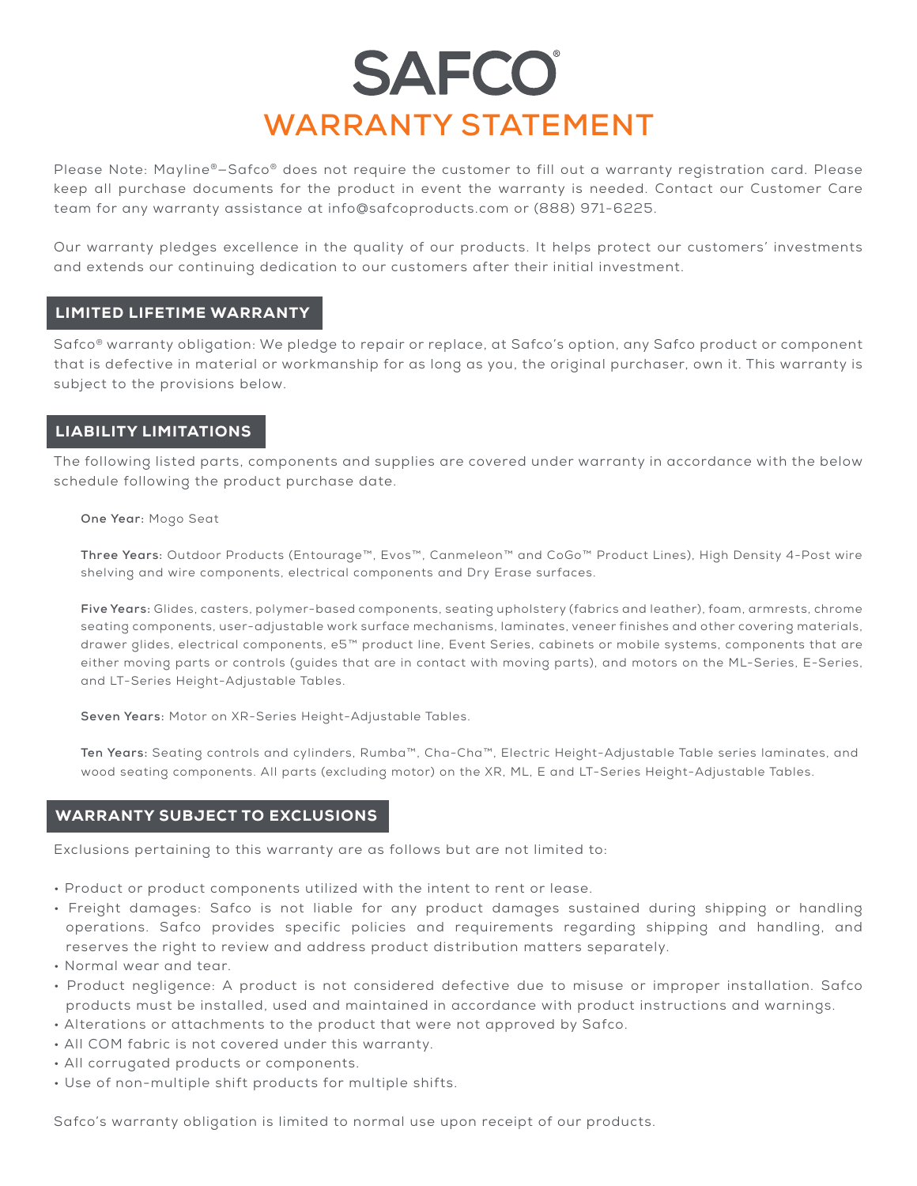# **SAFCO WARRANTY STATEMENT**

Please Note: Mayline®—Safco® does not require the customer to fill out a warranty registration card. Please keep all purchase documents for the product in event the warranty is needed. Contact our Customer Care team for any warranty assistance at info@safcoproducts.com or (888) 971-6225.

Our warranty pledges excellence in the quality of our products. It helps protect our customers' investments and extends our continuing dedication to our customers after their initial investment.

### LIMITED LIFETIME WARRANTY

Safco® warranty obligation: We pledge to repair or replace, at Safco's option, any Safco product or component that is defective in material or workmanship for as long as you, the original purchaser, own it. This warranty is subject to the provisions below.

## LIABILITY LIMITATIONS

The following listed parts, components and supplies are covered under warranty in accordance with the below schedule following the product purchase date.

#### **One Year:** Mogo Seat

**Three Years:** Outdoor Products (Entourage™, Evos™, Canmeleon™ and CoGo™ Product Lines), High Density 4-Post wire shelving and wire components, electrical components and Dry Erase surfaces.

**Five Years:** Glides, casters, polymer-based components, seating upholstery (fabrics and leather), foam, armrests, chrome seating components, user-adjustable work surface mechanisms, laminates, veneer finishes and other covering materials, drawer glides, electrical components, e5™ product line, Event Series, cabinets or mobile systems, components that are either moving parts or controls (guides that are in contact with moving parts), and motors on the ML-Series, E-Series, and LT-Series Height-Adjustable Tables.

**Seven Years:** Motor on XR-Series Height-Adjustable Tables.

**Ten Years:** Seating controls and cylinders, Rumba™, Cha-Cha™, Electric Height-Adjustable Table series laminates, and wood seating components. All parts (excluding motor) on the XR, ML, E and LT-Series Height-Adjustable Tables.

### WARRANTY SUBJECT TO EXCLUSIONS

Exclusions pertaining to this warranty are as follows but are not limited to:

- Product or product components utilized with the intent to rent or lease.
- Freight damages: Safco is not liable for any product damages sustained during shipping or handling operations. Safco provides specific policies and requirements regarding shipping and handling, and reserves the right to review and address product distribution matters separately.
- Normal wear and tear.
- Product negligence: A product is not considered defective due to misuse or improper installation. Safco products must be installed, used and maintained in accordance with product instructions and warnings.
- Alterations or attachments to the product that were not approved by Safco.
- All COM fabric is not covered under this warranty.
- All corrugated products or components.
- Use of non-multiple shift products for multiple shifts.

Safco's warranty obligation is limited to normal use upon receipt of our products.